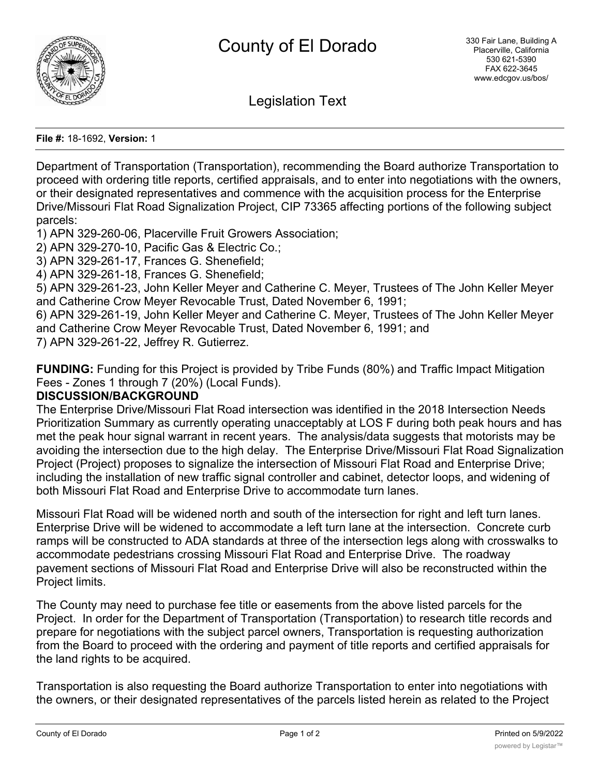

Legislation Text

**File #:** 18-1692, **Version:** 1

Department of Transportation (Transportation), recommending the Board authorize Transportation to proceed with ordering title reports, certified appraisals, and to enter into negotiations with the owners, or their designated representatives and commence with the acquisition process for the Enterprise Drive/Missouri Flat Road Signalization Project, CIP 73365 affecting portions of the following subject parcels:

1) APN 329-260-06, Placerville Fruit Growers Association;

2) APN 329-270-10, Pacific Gas & Electric Co.;

3) APN 329-261-17, Frances G. Shenefield;

4) APN 329-261-18, Frances G. Shenefield;

5) APN 329-261-23, John Keller Meyer and Catherine C. Meyer, Trustees of The John Keller Meyer and Catherine Crow Meyer Revocable Trust, Dated November 6, 1991;

6) APN 329-261-19, John Keller Meyer and Catherine C. Meyer, Trustees of The John Keller Meyer and Catherine Crow Meyer Revocable Trust, Dated November 6, 1991; and

7) APN 329-261-22, Jeffrey R. Gutierrez.

**FUNDING:** Funding for this Project is provided by Tribe Funds (80%) and Traffic Impact Mitigation Fees - Zones 1 through 7 (20%) (Local Funds).

#### **DISCUSSION/BACKGROUND**

The Enterprise Drive/Missouri Flat Road intersection was identified in the 2018 Intersection Needs Prioritization Summary as currently operating unacceptably at LOS F during both peak hours and has met the peak hour signal warrant in recent years. The analysis/data suggests that motorists may be avoiding the intersection due to the high delay. The Enterprise Drive/Missouri Flat Road Signalization Project (Project) proposes to signalize the intersection of Missouri Flat Road and Enterprise Drive; including the installation of new traffic signal controller and cabinet, detector loops, and widening of both Missouri Flat Road and Enterprise Drive to accommodate turn lanes.

Missouri Flat Road will be widened north and south of the intersection for right and left turn lanes. Enterprise Drive will be widened to accommodate a left turn lane at the intersection. Concrete curb ramps will be constructed to ADA standards at three of the intersection legs along with crosswalks to accommodate pedestrians crossing Missouri Flat Road and Enterprise Drive. The roadway pavement sections of Missouri Flat Road and Enterprise Drive will also be reconstructed within the Project limits.

The County may need to purchase fee title or easements from the above listed parcels for the Project. In order for the Department of Transportation (Transportation) to research title records and prepare for negotiations with the subject parcel owners, Transportation is requesting authorization from the Board to proceed with the ordering and payment of title reports and certified appraisals for the land rights to be acquired.

Transportation is also requesting the Board authorize Transportation to enter into negotiations with the owners, or their designated representatives of the parcels listed herein as related to the Project